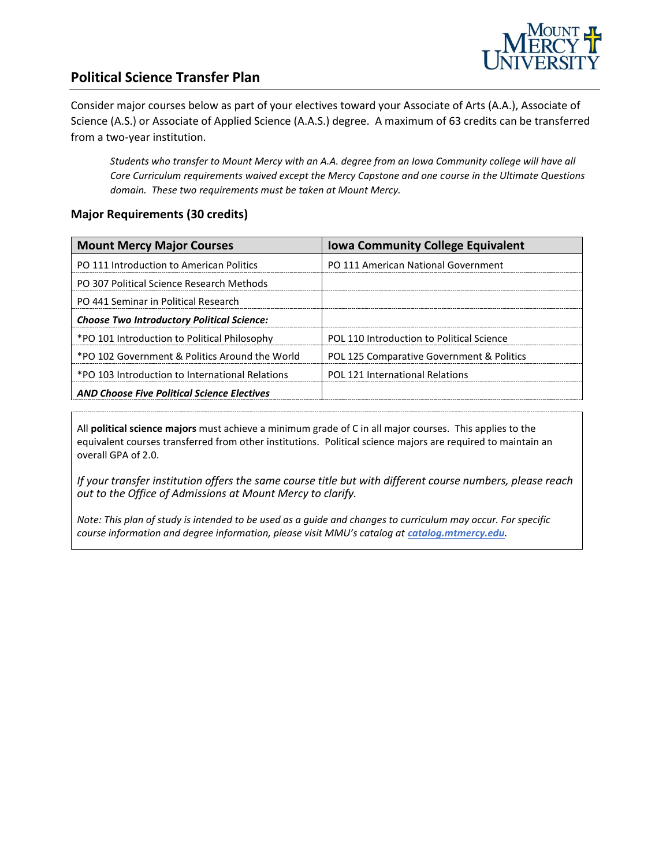

## **Political Science Transfer Plan**

Consider major courses below as part of your electives toward your Associate of Arts (A.A.), Associate of Science (A.S.) or Associate of Applied Science (A.A.S.) degree. A maximum of 63 credits can be transferred from a two-year institution.

*Students who transfer to Mount Mercy with an A.A. degree from an Iowa Community college will have all Core Curriculum requirements waived except the Mercy Capstone and one course in the Ultimate Questions domain. These two requirements must be taken at Mount Mercy.* 

#### **Major Requirements (30 credits)**

| <b>Mount Mercy Major Courses</b>                   | <b>Iowa Community College Equivalent</b>  |
|----------------------------------------------------|-------------------------------------------|
| PO 111 Introduction to American Politics           | PO 111 American National Government       |
| PO 307 Political Science Research Methods          |                                           |
| PO 441 Seminar in Political Research               |                                           |
| <b>Choose Two Introductory Political Science:</b>  |                                           |
| *PO 101 Introduction to Political Philosophy       | POL 110 Introduction to Political Science |
| *PO 102 Government & Politics Around the World     | POL 125 Comparative Government & Politics |
| *PO 103 Introduction to International Relations    | <b>POL 121 International Relations</b>    |
| <b>AND Choose Five Political Science Electives</b> |                                           |

All **political science majors** must achieve a minimum grade of C in all major courses. This applies to the equivalent courses transferred from other institutions. Political science majors are required to maintain an overall GPA of 2.0.

*If your transfer institution offers the same course title but with different course numbers, please reach out to the Office of Admissions at Mount Mercy to clarify.*

*Note: This plan of study is intended to be used as a guide and changes to curriculum may occur. For specific course information and degree information, please visit MMU's catalog at catalog.mtmercy.edu.*